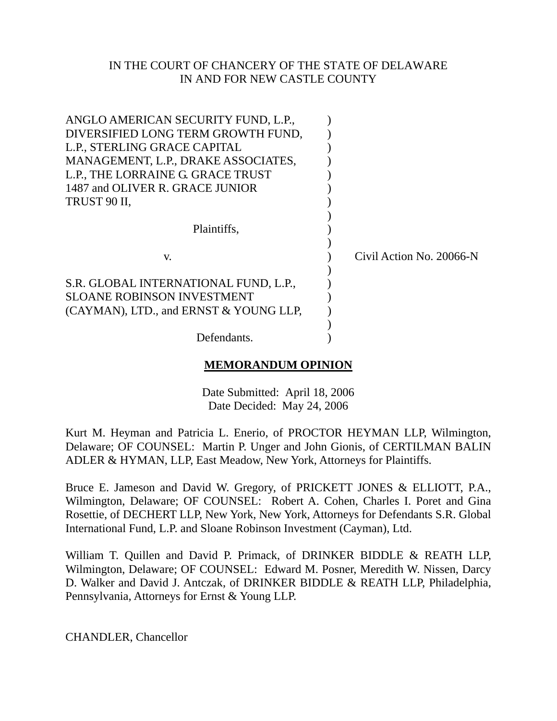### IN THE COURT OF CHANCERY OF THE STATE OF DELAWARE IN AND FOR NEW CASTLE COUNTY

| ANGLO AMERICAN SECURITY FUND, L.P.,    |                          |
|----------------------------------------|--------------------------|
| DIVERSIFIED LONG TERM GROWTH FUND,     |                          |
| L.P., STERLING GRACE CAPITAL           |                          |
| MANAGEMENT, L.P., DRAKE ASSOCIATES,    |                          |
| L.P., THE LORRAINE G. GRACE TRUST      |                          |
| 1487 and OLIVER R. GRACE JUNIOR        |                          |
| TRUST 90 II,                           |                          |
|                                        |                          |
| Plaintiffs,                            |                          |
|                                        |                          |
| V.                                     | Civil Action No. 20066-N |
|                                        |                          |
| S.R. GLOBAL INTERNATIONAL FUND, L.P.,  |                          |
| <b>SLOANE ROBINSON INVESTMENT</b>      |                          |
| (CAYMAN), LTD., and ERNST & YOUNG LLP, |                          |
|                                        |                          |
| Defendants.                            |                          |

## **MEMORANDUM OPINION**

Date Submitted: April 18, 2006 Date Decided: May 24, 2006

Kurt M. Heyman and Patricia L. Enerio, of PROCTOR HEYMAN LLP, Wilmington, Delaware; OF COUNSEL: Martin P. Unger and John Gionis, of CERTILMAN BALIN ADLER & HYMAN, LLP, East Meadow, New York, Attorneys for Plaintiffs.

Bruce E. Jameson and David W. Gregory, of PRICKETT JONES & ELLIOTT, P.A., Wilmington, Delaware; OF COUNSEL: Robert A. Cohen, Charles I. Poret and Gina Rosettie, of DECHERT LLP, New York, New York, Attorneys for Defendants S.R. Global International Fund, L.P. and Sloane Robinson Investment (Cayman), Ltd.

William T. Quillen and David P. Primack, of DRINKER BIDDLE & REATH LLP, Wilmington, Delaware; OF COUNSEL: Edward M. Posner, Meredith W. Nissen, Darcy D. Walker and David J. Antczak, of DRINKER BIDDLE & REATH LLP, Philadelphia, Pennsylvania, Attorneys for Ernst & Young LLP.

CHANDLER, Chancellor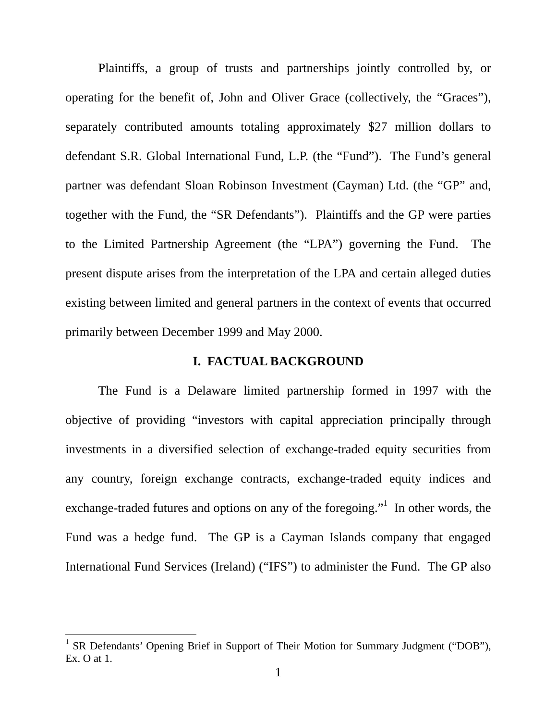Plaintiffs, a group of trusts and partnerships jointly controlled by, or operating for the benefit of, John and Oliver Grace (collectively, the "Graces"), separately contributed amounts totaling approximately \$27 million dollars to defendant S.R. Global International Fund, L.P. (the "Fund"). The Fund's general partner was defendant Sloan Robinson Investment (Cayman) Ltd. (the "GP" and, together with the Fund, the "SR Defendants"). Plaintiffs and the GP were parties to the Limited Partnership Agreement (the "LPA") governing the Fund. The present dispute arises from the interpretation of the LPA and certain alleged duties existing between limited and general partners in the context of events that occurred primarily between December 1999 and May 2000.

### **I. FACTUAL BACKGROUND**

The Fund is a Delaware limited partnership formed in 1997 with the objective of providing "investors with capital appreciation principally through investments in a diversified selection of exchange-traded equity securities from any country, foreign exchange contracts, exchange-traded equity indices and exchange-traded futures and options on any of the foregoing." In other words, the Fund was a hedge fund. The GP is a Cayman Islands company that engaged International Fund Services (Ireland) ("IFS") to administer the Fund. The GP also

<span id="page-1-0"></span><sup>&</sup>lt;sup>1</sup> SR Defendants' Opening Brief in Support of Their Motion for Summary Judgment ("DOB"), Ex. O at 1.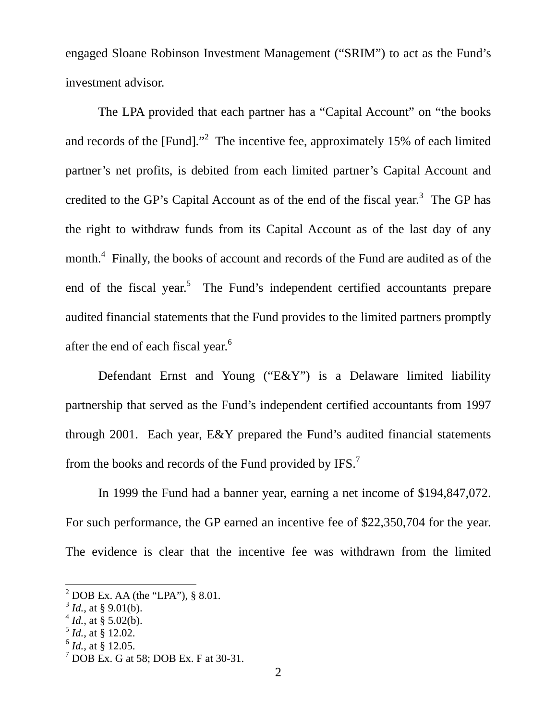engaged Sloane Robinson Investment Management ("SRIM") to act as the Fund's investment advisor.

The LPA provided that each partner has a "Capital Account" on "the books and records of the [Fund]."<sup>[2](#page-2-0)</sup> The incentive fee, approximately 15% of each limited partner's net profits, is debited from each limited partner's Capital Account and credited to the GP's Capital Account as of the end of the fiscal year.<sup>[3](#page-2-1)</sup> The GP has the right to withdraw funds from its Capital Account as of the last day of any month.<sup>[4](#page-2-2)</sup> Finally, the books of account and records of the Fund are audited as of the end of the fiscal year.<sup>[5](#page-2-3)</sup> The Fund's independent certified accountants prepare audited financial statements that the Fund provides to the limited partners promptly after the end of each fiscal year.<sup>[6](#page-2-4)</sup>

Defendant Ernst and Young ("E&Y") is a Delaware limited liability partnership that served as the Fund's independent certified accountants from 1997 through 2001. Each year, E&Y prepared the Fund's audited financial statements from the books and records of the Fund provided by IFS.<sup>[7](#page-2-5)</sup>

In 1999 the Fund had a banner year, earning a net income of \$194,847,072. For such performance, the GP earned an incentive fee of \$22,350,704 for the year. The evidence is clear that the incentive fee was withdrawn from the limited

- <span id="page-2-3"></span> $^5$  *Id.*, at § 12.02.
- <span id="page-2-4"></span> $^{6}$  *Id.*, at § 12.05.

<span id="page-2-0"></span> $^{2}$  DOB Ex. AA (the "LPA"), § 8.01.

<span id="page-2-1"></span> $3^3$  *Id.*, at § 9.01(b).

<span id="page-2-2"></span> $^{4}$  *Id.*, at § 5.02(b).

<span id="page-2-5"></span> $<sup>7</sup>$  DOB Ex. G at 58; DOB Ex. F at 30-31.</sup>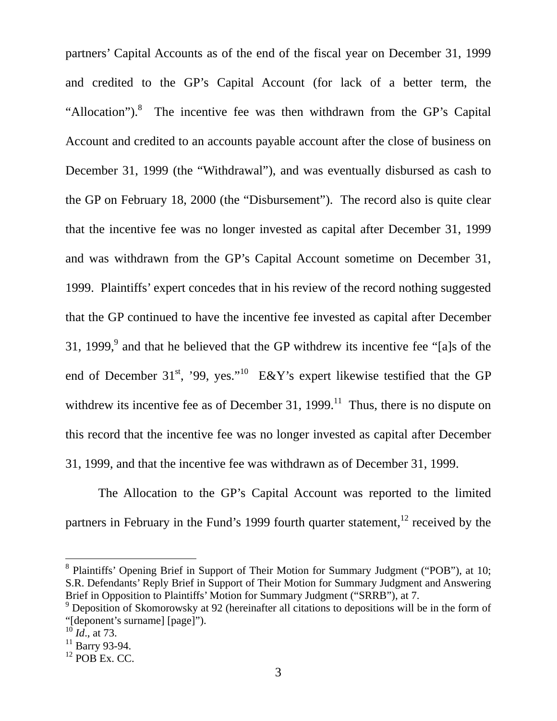partners' Capital Accounts as of the end of the fiscal year on December 31, 1999 and credited to the GP's Capital Account (for lack of a better term, the "Allocation"). $8$  The incentive fee was then withdrawn from the GP's Capital Account and credited to an accounts payable account after the close of business on December 31, 1999 (the "Withdrawal"), and was eventually disbursed as cash to the GP on February 18, 2000 (the "Disbursement"). The record also is quite clear that the incentive fee was no longer invested as capital after December 31, 1999 and was withdrawn from the GP's Capital Account sometime on December 31, 1999. Plaintiffs' expert concedes that in his review of the record nothing suggested that the GP continued to have the incentive fee invested as capital after December 31, 1999,<sup>9</sup> and that he believed that the GP withdrew its incentive fee "[a]s of the end of December 31<sup>st</sup>, '99, yes."<sup>10</sup> E&Y's expert likewise testified that the GP withdrew its incentive fee as of December 31, 1999.<sup>11</sup> Thus, there is no dispute on this record that the incentive fee was no longer invested as capital after December 31, 1999, and that the incentive fee was withdrawn as of December 31, 1999.

The Allocation to the GP's Capital Account was reported to the limited partners in February in the Fund's 1999 fourth quarter statement,  $12$  received by the

<span id="page-3-0"></span><sup>8</sup> Plaintiffs' Opening Brief in Support of Their Motion for Summary Judgment ("POB"), at 10; S.R. Defendants' Reply Brief in Support of Their Motion for Summary Judgment and Answering Brief in Opposition to Plaintiffs' Motion for Summary Judgment ("SRRB"), at 7.

<span id="page-3-1"></span><sup>&</sup>lt;sup>9</sup> Deposition of Skomorowsky at 92 (hereinafter all citations to depositions will be in the form of "[deponent's surname] [page]").

<span id="page-3-2"></span> $^{10}$  *Id.*, at 73.

<span id="page-3-3"></span> $11$  Barry 93-94.

<span id="page-3-4"></span> $12$  POB Ex. CC.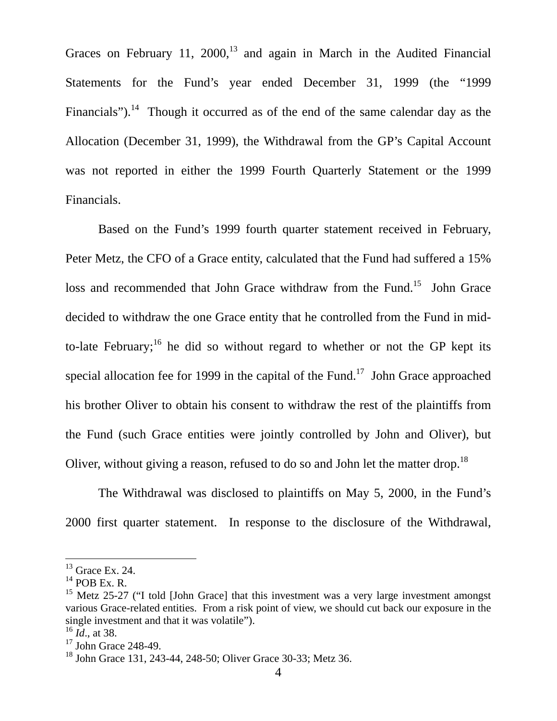Graces on February 11,  $2000$ ,<sup>13</sup> and again in March in the Audited Financial Statements for the Fund's year ended December 31, 1999 (the "1999 Financials").<sup>14</sup> Though it occurred as of the end of the same calendar day as the Allocation (December 31, 1999), the Withdrawal from the GP's Capital Account was not reported in either the 1999 Fourth Quarterly Statement or the 1999 Financials.

Based on the Fund's 1999 fourth quarter statement received in February, Peter Metz, the CFO of a Grace entity, calculated that the Fund had suffered a 15% loss and recommended that John Grace withdraw from the Fund.<sup>15</sup> John Grace decided to withdraw the one Grace entity that he controlled from the Fund in midto-late February;<sup>16</sup> he did so without regard to whether or not the GP kept its special allocation fee for 1999 in the capital of the Fund.<sup>17</sup> John Grace approached his brother Oliver to obtain his consent to withdraw the rest of the plaintiffs from the Fund (such Grace entities were jointly controlled by John and Oliver), but Oliver, without giving a reason, refused to do so and John let the matter drop.<sup>[18](#page-4-5)</sup>

The Withdrawal was disclosed to plaintiffs on May 5, 2000, in the Fund's 2000 first quarter statement. In response to the disclosure of the Withdrawal,

<span id="page-4-0"></span> $13$  Grace Ex. 24.

<span id="page-4-1"></span> $14$  POB Ex. R.

<span id="page-4-2"></span><sup>&</sup>lt;sup>15</sup> Metz 25-27 ("I told [John Grace] that this investment was a very large investment amongst various Grace-related entities. From a risk point of view, we should cut back our exposure in the single investment and that it was volatile").

<span id="page-4-3"></span><sup>16</sup> *Id*., at 38.

<span id="page-4-4"></span> $17$  John Grace 248-49.

<span id="page-4-5"></span><sup>18</sup> John Grace 131, 243-44, 248-50; Oliver Grace 30-33; Metz 36.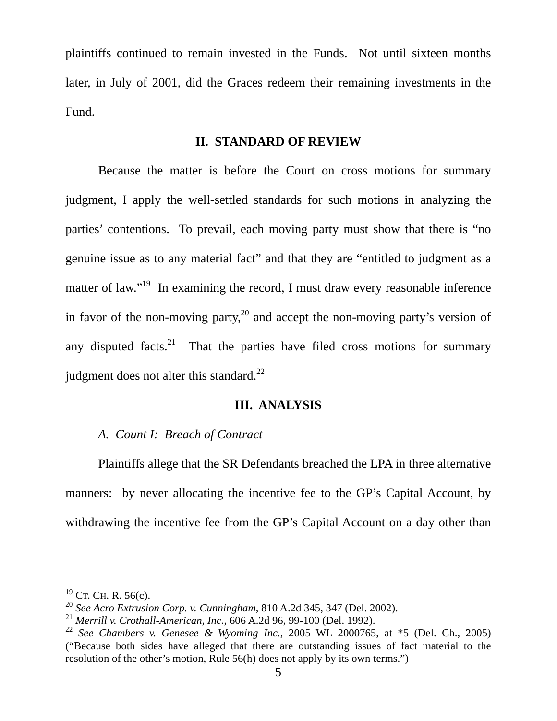plaintiffs continued to remain invested in the Funds. Not until sixteen months later, in July of 2001, did the Graces redeem their remaining investments in the Fund.

## **II. STANDARD OF REVIEW**

Because the matter is before the Court on cross motions for summary judgment, I apply the well-settled standards for such motions in analyzing the parties' contentions. To prevail, each moving party must show that there is "no genuine issue as to any material fact" and that they are "entitled to judgment as a matter of law."<sup>19</sup> In examining the record, I must draw every reasonable inference in favor of the non-moving party,<sup>20</sup> and accept the non-moving party's version of any disputed facts.<sup>21</sup> That the parties have filed cross motions for summary judgment does not alter this standard. $^{22}$ 

### **III. ANALYSIS**

## *A. Count I: Breach of Contract*

Plaintiffs allege that the SR Defendants breached the LPA in three alternative manners: by never allocating the incentive fee to the GP's Capital Account, by withdrawing the incentive fee from the GP's Capital Account on a day other than

<span id="page-5-0"></span> $19$  CT. CH. R. 56(c).

<span id="page-5-1"></span><sup>20</sup> *See Acro Extrusion Corp. v. Cunningham*, 810 A.2d 345, 347 (Del. 2002).

<span id="page-5-2"></span><sup>21</sup> *Merrill v. Crothall-American, Inc.*, 606 A.2d 96, 99-100 (Del. 1992).

<span id="page-5-3"></span><sup>22</sup> *See Chambers v. Genesee & Wyoming Inc.*, 2005 WL 2000765, at \*5 (Del. Ch., 2005) ("Because both sides have alleged that there are outstanding issues of fact material to the resolution of the other's motion, Rule 56(h) does not apply by its own terms.")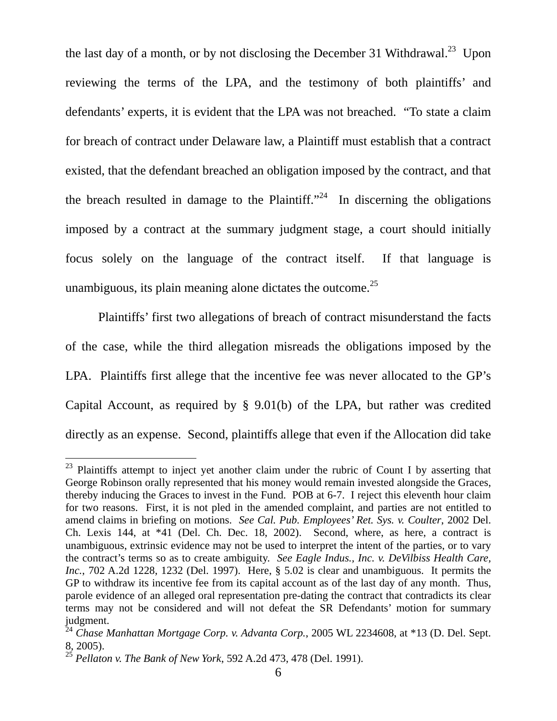the last day of a month, or by not disclosing the December 31 Withdrawal.<sup>23</sup> Upon reviewing the terms of the LPA, and the testimony of both plaintiffs' and defendants' experts, it is evident that the LPA was not breached. "To state a claim for breach of contract under Delaware law, a Plaintiff must establish that a contract existed, that the defendant breached an obligation imposed by the contract, and that the breach resulted in damage to the Plaintiff."<sup>24</sup> In discerning the obligations imposed by a contract at the summary judgment stage, a court should initially focus solely on the language of the contract itself. If that language is unambiguous, its plain meaning alone dictates the outcome.<sup>25</sup>

Plaintiffs' first two allegations of breach of contract misunderstand the facts of the case, while the third allegation misreads the obligations imposed by the LPA. Plaintiffs first allege that the incentive fee was never allocated to the GP's Capital Account, as required by § 9.01(b) of the LPA, but rather was credited directly as an expense. Second, plaintiffs allege that even if the Allocation did take

<span id="page-6-0"></span> $23$  Plaintiffs attempt to inject yet another claim under the rubric of Count I by asserting that George Robinson orally represented that his money would remain invested alongside the Graces, thereby inducing the Graces to invest in the Fund. POB at 6-7. I reject this eleventh hour claim for two reasons. First, it is not pled in the amended complaint, and parties are not entitled to amend claims in briefing on motions. *See Cal. Pub. Employees' Ret. Sys. v. Coulter*, 2002 Del. Ch. Lexis 144, at \*41 (Del. Ch. Dec. 18, 2002). Second, where, as here, a contract is unambiguous, extrinsic evidence may not be used to interpret the intent of the parties, or to vary the contract's terms so as to create ambiguity. *See Eagle Indus., Inc. v. DeVilbiss Health Care, Inc.*, 702 A.2d 1228, 1232 (Del. 1997). Here, § 5.02 is clear and unambiguous. It permits the GP to withdraw its incentive fee from its capital account as of the last day of any month. Thus, parole evidence of an alleged oral representation pre-dating the contract that contradicts its clear terms may not be considered and will not defeat the SR Defendants' motion for summary judgment.

<span id="page-6-1"></span><sup>24</sup> *Chase Manhattan Mortgage Corp. v. Advanta Corp.*, 2005 WL 2234608, at \*13 (D. Del. Sept. 8, 2005).

<span id="page-6-2"></span><sup>25</sup> *Pellaton v. The Bank of New York*, 592 A.2d 473, 478 (Del. 1991).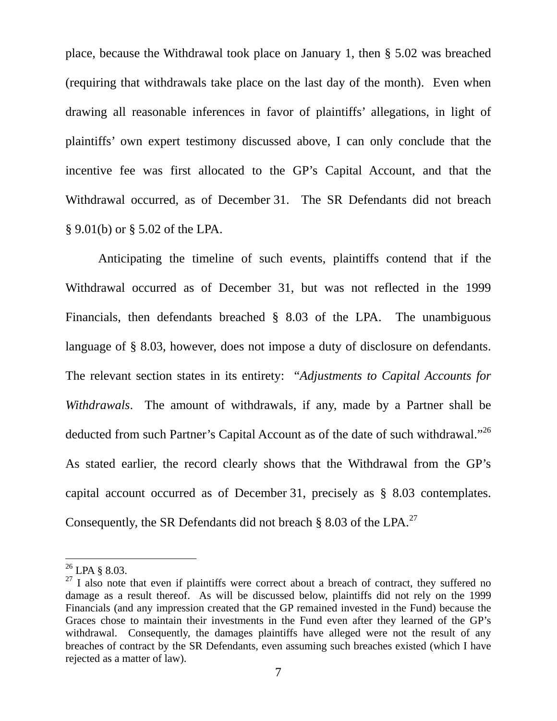place, because the Withdrawal took place on January 1, then § 5.02 was breached (requiring that withdrawals take place on the last day of the month). Even when drawing all reasonable inferences in favor of plaintiffs' allegations, in light of plaintiffs' own expert testimony discussed above, I can only conclude that the incentive fee was first allocated to the GP's Capital Account, and that the Withdrawal occurred, as of December 31. The SR Defendants did not breach § 9.01(b) or § 5.02 of the LPA.

Anticipating the timeline of such events, plaintiffs contend that if the Withdrawal occurred as of December 31, but was not reflected in the 1999 Financials, then defendants breached § 8.03 of the LPA. The unambiguous language of § 8.03, however, does not impose a duty of disclosure on defendants. The relevant section states in its entirety: "*Adjustments to Capital Accounts for Withdrawals*. The amount of withdrawals, if any, made by a Partner shall be deducted from such Partner's Capital Account as of the date of such withdrawal."[26](#page-7-0)  As stated earlier, the record clearly shows that the Withdrawal from the GP's capital account occurred as of December 31, precisely as § 8.03 contemplates. Consequently, the SR Defendants did not breach  $\S$  8.03 of the LPA.<sup>27</sup>

<span id="page-7-0"></span> $^{26}$  LPA § 8.03.

<span id="page-7-1"></span> $27$  I also note that even if plaintiffs were correct about a breach of contract, they suffered no damage as a result thereof. As will be discussed below, plaintiffs did not rely on the 1999 Financials (and any impression created that the GP remained invested in the Fund) because the Graces chose to maintain their investments in the Fund even after they learned of the GP's withdrawal. Consequently, the damages plaintiffs have alleged were not the result of any breaches of contract by the SR Defendants, even assuming such breaches existed (which I have rejected as a matter of law).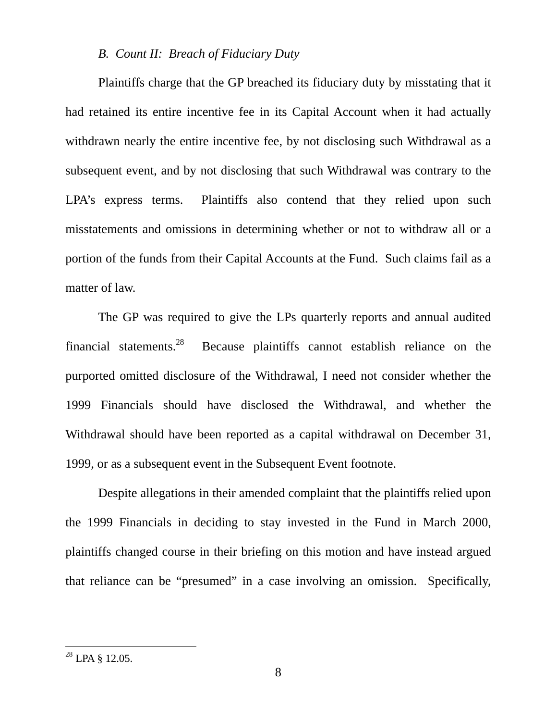#### *B. Count II: Breach of Fiduciary Duty*

Plaintiffs charge that the GP breached its fiduciary duty by misstating that it had retained its entire incentive fee in its Capital Account when it had actually withdrawn nearly the entire incentive fee, by not disclosing such Withdrawal as a subsequent event, and by not disclosing that such Withdrawal was contrary to the LPA's express terms. Plaintiffs also contend that they relied upon such misstatements and omissions in determining whether or not to withdraw all or a portion of the funds from their Capital Accounts at the Fund. Such claims fail as a matter of law.

The GP was required to give the LPs quarterly reports and annual audited financial statements.<sup>28</sup> Because plaintiffs cannot establish reliance on the purported omitted disclosure of the Withdrawal, I need not consider whether the 1999 Financials should have disclosed the Withdrawal, and whether the Withdrawal should have been reported as a capital withdrawal on December 31, 1999, or as a subsequent event in the Subsequent Event footnote.

Despite allegations in their amended complaint that the plaintiffs relied upon the 1999 Financials in deciding to stay invested in the Fund in March 2000, plaintiffs changed course in their briefing on this motion and have instead argued that reliance can be "presumed" in a case involving an omission. Specifically,

<span id="page-8-0"></span> $^{28}$  LPA  $\S$  12.05.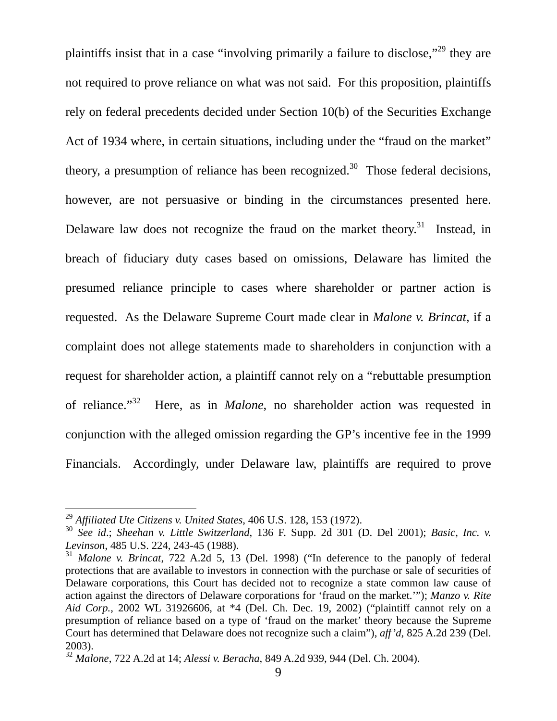plaintiffs insist that in a case "involving primarily a failure to disclose,"[29](#page-9-0) they are not required to prove reliance on what was not said. For this proposition, plaintiffs rely on federal precedents decided under Section 10(b) of the Securities Exchange Act of 1934 where, in certain situations, including under the "fraud on the market" theory, a presumption of reliance has been recognized.<sup>30</sup> Those federal decisions, however, are not persuasive or binding in the circumstances presented here. Delaware law does not recognize the fraud on the market theory.<sup>31</sup> Instead, in breach of fiduciary duty cases based on omissions, Delaware has limited the presumed reliance principle to cases where shareholder or partner action is requested. As the Delaware Supreme Court made clear in *Malone v. Brincat*, if a complaint does not allege statements made to shareholders in conjunction with a request for shareholder action, a plaintiff cannot rely on a "rebuttable presumption of reliance."[32](#page-9-3) Here, as in *Malone*, no shareholder action was requested in conjunction with the alleged omission regarding the GP's incentive fee in the 1999 Financials. Accordingly, under Delaware law, plaintiffs are required to prove

<span id="page-9-0"></span><sup>29</sup> *Affiliated Ute Citizens v. United States*, 406 U.S. 128, 153 (1972).

<span id="page-9-1"></span><sup>30</sup> *See id*.; *Sheehan v. Little Switzerland*, 136 F. Supp. 2d 301 (D. Del 2001); *Basic, Inc. v. Levinson*, 485 U.S. 224, 243-45 (1988).

<span id="page-9-2"></span><sup>31</sup> *Malone v. Brincat*, 722 A.2d 5, 13 (Del. 1998) ("In deference to the panoply of federal protections that are available to investors in connection with the purchase or sale of securities of Delaware corporations, this Court has decided not to recognize a state common law cause of action against the directors of Delaware corporations for 'fraud on the market.'"); *Manzo v. Rite Aid Corp.*, 2002 WL 31926606, at \*4 (Del. Ch. Dec. 19, 2002) ("plaintiff cannot rely on a presumption of reliance based on a type of 'fraud on the market' theory because the Supreme Court has determined that Delaware does not recognize such a claim"), *aff'd*, 825 A.2d 239 (Del. 2003).

<span id="page-9-3"></span><sup>32</sup> *Malone*, 722 A.2d at 14; *Alessi v. Beracha*, 849 A.2d 939, 944 (Del. Ch. 2004).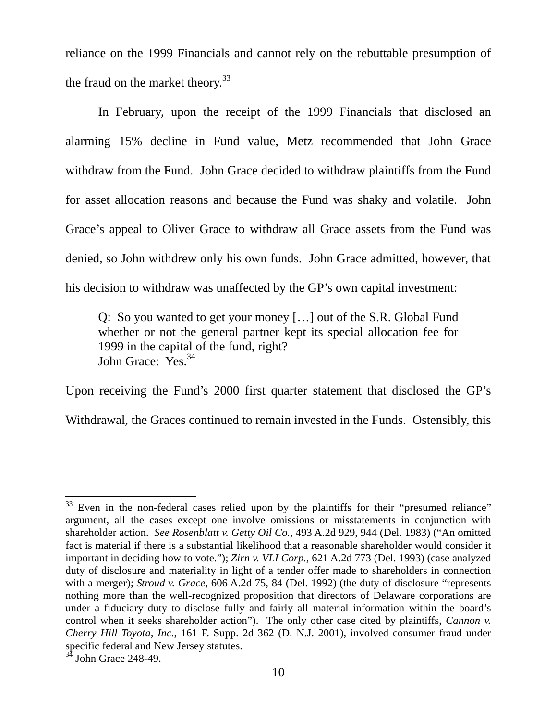reliance on the 1999 Financials and cannot rely on the rebuttable presumption of the fraud on the market theory.<sup>[33](#page-10-0)</sup>

In February, upon the receipt of the 1999 Financials that disclosed an alarming 15% decline in Fund value, Metz recommended that John Grace withdraw from the Fund. John Grace decided to withdraw plaintiffs from the Fund for asset allocation reasons and because the Fund was shaky and volatile. John Grace's appeal to Oliver Grace to withdraw all Grace assets from the Fund was denied, so John withdrew only his own funds. John Grace admitted, however, that his decision to withdraw was unaffected by the GP's own capital investment:

Q: So you wanted to get your money […] out of the S.R. Global Fund whether or not the general partner kept its special allocation fee for 1999 in the capital of the fund, right? John Grace: Yes.<sup>[34](#page-10-1)</sup>

Upon receiving the Fund's 2000 first quarter statement that disclosed the GP's Withdrawal, the Graces continued to remain invested in the Funds. Ostensibly, this

<span id="page-10-0"></span> $\overline{a}$ Even in the non-federal cases relied upon by the plaintiffs for their "presumed reliance" argument, all the cases except one involve omissions or misstatements in conjunction with shareholder action. *See Rosenblatt v. Getty Oil Co.*, 493 A.2d 929, 944 (Del. 1983) ("An omitted fact is material if there is a substantial likelihood that a reasonable shareholder would consider it important in deciding how to vote."); *Zirn v. VLI Corp.*, 621 A.2d 773 (Del. 1993) (case analyzed duty of disclosure and materiality in light of a tender offer made to shareholders in connection with a merger); *Stroud v. Grace*, 606 A.2d 75, 84 (Del. 1992) (the duty of disclosure "represents nothing more than the well-recognized proposition that directors of Delaware corporations are under a fiduciary duty to disclose fully and fairly all material information within the board's control when it seeks shareholder action"). The only other case cited by plaintiffs, *Cannon v. Cherry Hill Toyota, Inc.*, 161 F. Supp. 2d 362 (D. N.J. 2001), involved consumer fraud under specific federal and New Jersey statutes.

<span id="page-10-1"></span>John Grace 248-49.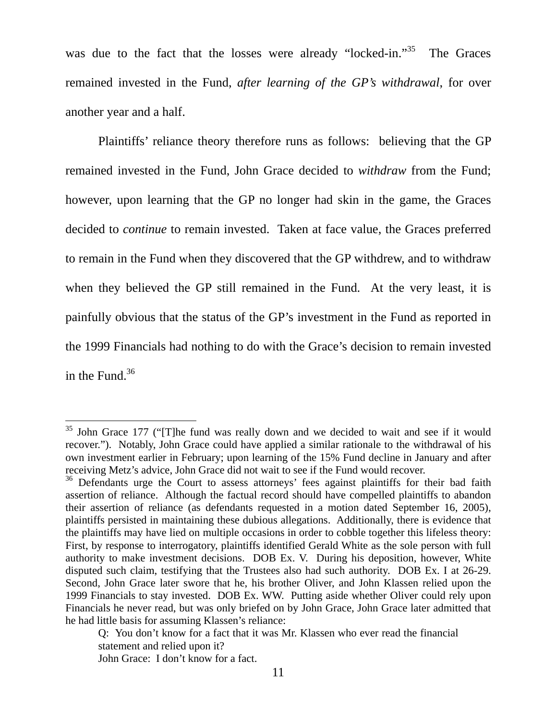<span id="page-11-1"></span>was due to the fact that the losses were already "locked-in."<sup>35</sup> The Graces remained invested in the Fund, *after learning of the GP's withdrawal*, for over another year and a half.

Plaintiffs' reliance theory therefore runs as follows: believing that the GP remained invested in the Fund, John Grace decided to *withdraw* from the Fund; however, upon learning that the GP no longer had skin in the game, the Graces decided to *continue* to remain invested. Taken at face value, the Graces preferred to remain in the Fund when they discovered that the GP withdrew, and to withdraw when they believed the GP still remained in the Fund. At the very least, it is painfully obvious that the status of the GP's investment in the Fund as reported in the 1999 Financials had nothing to do with the Grace's decision to remain invested in the Fund. $36$ 

<span id="page-11-0"></span> $35$  John Grace 177 ("The fund was really down and we decided to wait and see if it would recover."). Notably, John Grace could have applied a similar rationale to the withdrawal of his own investment earlier in February; upon learning of the 15% Fund decline in January and after receiving Metz's advice, John Grace did not wait to see if the Fund would recover.

<sup>&</sup>lt;sup>36</sup> Defendants urge the Court to assess attorneys' fees against plaintiffs for their bad faith assertion of reliance. Although the factual record should have compelled plaintiffs to abandon their assertion of reliance (as defendants requested in a motion dated September 16, 2005), plaintiffs persisted in maintaining these dubious allegations. Additionally, there is evidence that the plaintiffs may have lied on multiple occasions in order to cobble together this lifeless theory: First, by response to interrogatory, plaintiffs identified Gerald White as the sole person with full authority to make investment decisions. DOB Ex. V. During his deposition, however, White disputed such claim, testifying that the Trustees also had such authority. DOB Ex. I at 26-29. Second, John Grace later swore that he, his brother Oliver, and John Klassen relied upon the 1999 Financials to stay invested. DOB Ex. WW. Putting aside whether Oliver could rely upon Financials he never read, but was only briefed on by John Grace, John Grace later admitted that he had little basis for assuming Klassen's reliance:

Q: You don't know for a fact that it was Mr. Klassen who ever read the financial statement and relied upon it? John Grace: I don't know for a fact.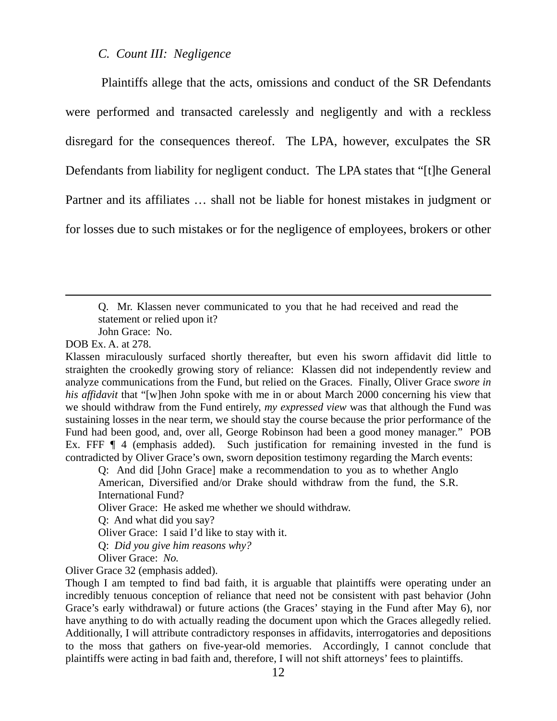#### *C. Count III: Negligence*

 Plaintiffs allege that the acts, omissions and conduct of the SR Defendants were performed and transacted carelessly and negligently and with a reckless disregard for the consequences thereof. The LPA, however, exculpates the SR Defendants from liability for negligent conduct. The LPA states that "[t]he General Partner and its affiliates … shall not be liable for honest mistakes in judgment or for losses due to such mistakes or for the negligence of employees, brokers or other

Q. Mr. Klassen never communicated to you that he had received and read the statement or relied upon it?

John Grace: No.

DOB Ex. A. at 278.

 $\overline{a}$ 

Q: And did [John Grace] make a recommendation to you as to whether Anglo American, Diversified and/or Drake should withdraw from the fund, the S.R. International Fund?

Oliver Grace: He asked me whether we should withdraw.

Q: And what did you say?

Oliver Grace: I said I'd like to stay with it.

Q: *Did you give him reasons why?*

Oliver Grace: *No.*

Oliver Grace 32 (emphasis added).

Though I am tempted to find bad faith, it is arguable that plaintiffs were operating under an incredibly tenuous conception of reliance that need not be consistent with past behavior (John Grace's early withdrawal) or future actions (the Graces' staying in the Fund after May 6), nor have anything to do with actually reading the document upon which the Graces allegedly relied. Additionally, I will attribute contradictory responses in affidavits, interrogatories and depositions to the moss that gathers on five-year-old memories. Accordingly, I cannot conclude that plaintiffs were acting in bad faith and, therefore, I will not shift attorneys' fees to plaintiffs.

Klassen miraculously surfaced shortly thereafter, but even his sworn affidavit did little to straighten the crookedly growing story of reliance: Klassen did not independently review and analyze communications from the Fund, but relied on the Graces. Finally, Oliver Grace *swore in his affidavit* that "[w]hen John spoke with me in or about March 2000 concerning his view that we should withdraw from the Fund entirely, *my expressed view* was that although the Fund was sustaining losses in the near term, we should stay the course because the prior performance of the Fund had been good, and, over all, George Robinson had been a good money manager." POB Ex. FFF  $\P$  4 (emphasis added). Such justification for remaining invested in the fund is contradicted by Oliver Grace's own, sworn deposition testimony regarding the March events: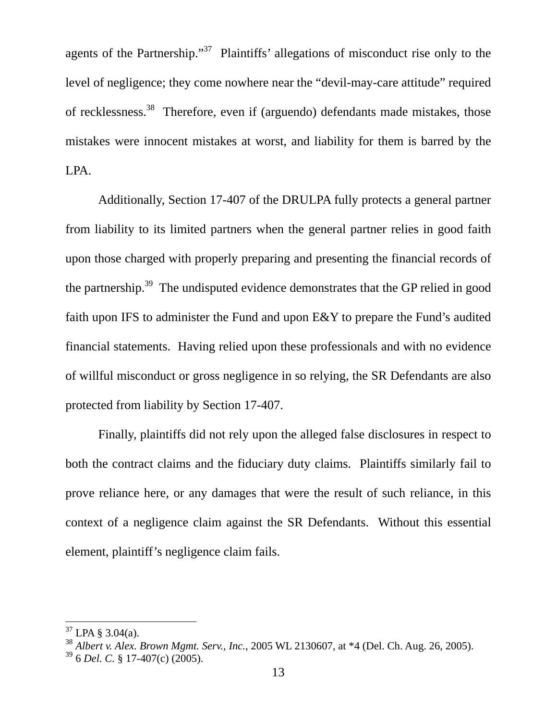agents of the Partnership."[37](#page-13-0) Plaintiffs' allegations of misconduct rise only to the level of negligence; they come nowhere near the "devil-may-care attitude" required of recklessness[.38](#page-13-1) Therefore, even if (arguendo) defendants made mistakes, those mistakes were innocent mistakes at worst, and liability for them is barred by the LPA.

Additionally, Section 17-407 of the DRULPA fully protects a general partner from liability to its limited partners when the general partner relies in good faith upon those charged with properly preparing and presenting the financial records of the partnership[.39](#page-13-2) The undisputed evidence demonstrates that the GP relied in good faith upon IFS to administer the Fund and upon E&Y to prepare the Fund's audited financial statements. Having relied upon these professionals and with no evidence of willful misconduct or gross negligence in so relying, the SR Defendants are also protected from liability by Section 17-407.

Finally, plaintiffs did not rely upon the alleged false disclosures in respect to both the contract claims and the fiduciary duty claims. Plaintiffs similarly fail to prove reliance here, or any damages that were the result of such reliance, in this context of a negligence claim against the SR Defendants. Without this essential element, plaintiff's negligence claim fails.

<span id="page-13-0"></span> $37$  LPA § 3.04(a).

<span id="page-13-1"></span><sup>38</sup> *Albert v. Alex. Brown Mgmt. Serv., Inc.*, 2005 WL 2130607, at \*4 (Del. Ch. Aug. 26, 2005).

<span id="page-13-2"></span><sup>39 6</sup> *Del. C.* § 17-407(c) (2005).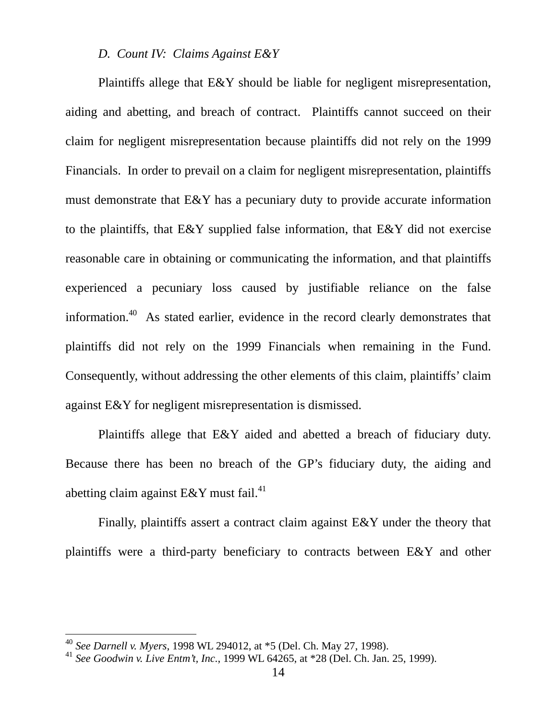## *D. Count IV: Claims Against E&Y*

Plaintiffs allege that E&Y should be liable for negligent misrepresentation, aiding and abetting, and breach of contract. Plaintiffs cannot succeed on their claim for negligent misrepresentation because plaintiffs did not rely on the 1999 Financials. In order to prevail on a claim for negligent misrepresentation, plaintiffs must demonstrate that E&Y has a pecuniary duty to provide accurate information to the plaintiffs, that E&Y supplied false information, that E&Y did not exercise reasonable care in obtaining or communicating the information, and that plaintiffs experienced a pecuniary loss caused by justifiable reliance on the false information.[40](#page-14-0) As stated earlier, evidence in the record clearly demonstrates that plaintiffs did not rely on the 1999 Financials when remaining in the Fund. Consequently, without addressing the other elements of this claim, plaintiffs' claim against E&Y for negligent misrepresentation is dismissed.

Plaintiffs allege that E&Y aided and abetted a breach of fiduciary duty. Because there has been no breach of the GP's fiduciary duty, the aiding and abetting claim against  $E&Y$  must fail.<sup>[41](#page-14-1)</sup>

Finally, plaintiffs assert a contract claim against E&Y under the theory that plaintiffs were a third-party beneficiary to contracts between E&Y and other

<span id="page-14-0"></span><sup>40</sup> *See Darnell v. Myers*, 1998 WL 294012, at \*5 (Del. Ch. May 27, 1998).

<span id="page-14-1"></span><sup>41</sup> *See Goodwin v. Live Entm't, Inc.*, 1999 WL 64265, at \*28 (Del. Ch. Jan. 25, 1999).